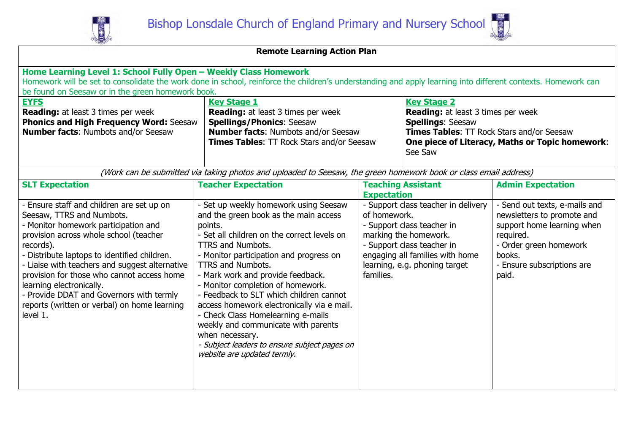



| <b>Remote Learning Action Plan</b>                                                                                                                                                                                                                                                                                                                                                                                                                        |                                                                                                                                                                                                                                                                                                                                                                                                                                                                                                                                                                                               |                                                 |                                                                                                                                                                                              |                                                                                                                                                                                   |  |  |  |
|-----------------------------------------------------------------------------------------------------------------------------------------------------------------------------------------------------------------------------------------------------------------------------------------------------------------------------------------------------------------------------------------------------------------------------------------------------------|-----------------------------------------------------------------------------------------------------------------------------------------------------------------------------------------------------------------------------------------------------------------------------------------------------------------------------------------------------------------------------------------------------------------------------------------------------------------------------------------------------------------------------------------------------------------------------------------------|-------------------------------------------------|----------------------------------------------------------------------------------------------------------------------------------------------------------------------------------------------|-----------------------------------------------------------------------------------------------------------------------------------------------------------------------------------|--|--|--|
| Home Learning Level 1: School Fully Open - Weekly Class Homework<br>Homework will be set to consolidate the work done in school, reinforce the children's understanding and apply learning into different contexts. Homework can<br>be found on Seesaw or in the green homework book.                                                                                                                                                                     |                                                                                                                                                                                                                                                                                                                                                                                                                                                                                                                                                                                               |                                                 |                                                                                                                                                                                              |                                                                                                                                                                                   |  |  |  |
| <b>EYFS</b><br><b>Reading:</b> at least 3 times per week<br><b>Phonics and High Frequency Word: Seesaw</b><br><b>Number facts: Numbots and/or Seesaw</b>                                                                                                                                                                                                                                                                                                  | <b>Key Stage 1</b><br><b>Reading:</b> at least 3 times per week<br><b>Spellings/Phonics: Seesaw</b><br><b>Number facts: Numbots and/or Seesaw</b><br>Times Tables: TT Rock Stars and/or Seesaw                                                                                                                                                                                                                                                                                                                                                                                                |                                                 | <b>Key Stage 2</b><br><b>Spellings: Seesaw</b><br>See Saw                                                                                                                                    | <b>Reading:</b> at least 3 times per week<br><b>Times Tables: TT Rock Stars and/or Seesaw</b><br>One piece of Literacy, Maths or Topic homework:                                  |  |  |  |
|                                                                                                                                                                                                                                                                                                                                                                                                                                                           | (Work can be submitted via taking photos and uploaded to Seesaw, the green homework book or class email address)                                                                                                                                                                                                                                                                                                                                                                                                                                                                              |                                                 |                                                                                                                                                                                              |                                                                                                                                                                                   |  |  |  |
| <b>SLT Expectation</b>                                                                                                                                                                                                                                                                                                                                                                                                                                    | <b>Teacher Expectation</b>                                                                                                                                                                                                                                                                                                                                                                                                                                                                                                                                                                    | <b>Teaching Assistant</b><br><b>Expectation</b> |                                                                                                                                                                                              | <b>Admin Expectation</b>                                                                                                                                                          |  |  |  |
| - Ensure staff and children are set up on<br>Seesaw, TTRS and Numbots.<br>- Monitor homework participation and<br>provision across whole school (teacher<br>records).<br>- Distribute laptops to identified children.<br>- Liaise with teachers and suggest alternative<br>provision for those who cannot access home<br>learning electronically.<br>- Provide DDAT and Governors with termly<br>reports (written or verbal) on home learning<br>level 1. | - Set up weekly homework using Seesaw<br>and the green book as the main access<br>points.<br>- Set all children on the correct levels on<br><b>TTRS and Numbots.</b><br>- Monitor participation and progress on<br><b>TTRS and Numbots.</b><br>- Mark work and provide feedback.<br>- Monitor completion of homework.<br>- Feedback to SLT which children cannot<br>access homework electronically via e mail.<br>- Check Class Homelearning e-mails<br>weekly and communicate with parents<br>when necessary.<br>- Subject leaders to ensure subject pages on<br>website are updated termly. | of homework.<br>families.                       | - Support class teacher in delivery<br>- Support class teacher in<br>marking the homework.<br>- Support class teacher in<br>engaging all families with home<br>learning, e.g. phoning target | - Send out texts, e-mails and<br>newsletters to promote and<br>support home learning when<br>required.<br>- Order green homework<br>books.<br>- Ensure subscriptions are<br>paid. |  |  |  |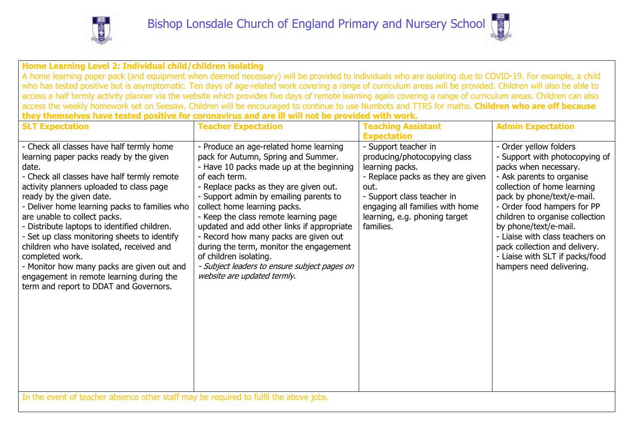



**Home Learning Level 2: Individual child/children isolating**

A home learning paper pack (and equipment when deemed necessary) will be provided to individuals who are isolating due to COVID-19. For example, a child who has tested positive but is asymptomatic. Ten days of age-related work covering a range of curriculum areas will be provided. Children will also be able to access a half termly activity planner via the website which provides five days of remote learning again covering a range of curriculum areas. Children can also access the weekly homework set on Seesaw. Children will be encouraged to continue to use Numbots and TTRS for maths. **Children who are off because they themselves have tested positive for coronavirus and are ill will not be provided with work.**

| <b>SLT Expectation</b>                                                                                                                                                                                                                                                                                                                                                                                                                                                                                                                                                                                   | <b>Teacher Expectation</b>                                                                                                                                                                                                                                                                                                                                                                                                                                                                                                                         | <b>Teaching Assistant</b>                                                                                                                                                                                                           | <b>Admin Expectation</b>                                                                                                                                                                                                                                                                                                                                                                                |  |
|----------------------------------------------------------------------------------------------------------------------------------------------------------------------------------------------------------------------------------------------------------------------------------------------------------------------------------------------------------------------------------------------------------------------------------------------------------------------------------------------------------------------------------------------------------------------------------------------------------|----------------------------------------------------------------------------------------------------------------------------------------------------------------------------------------------------------------------------------------------------------------------------------------------------------------------------------------------------------------------------------------------------------------------------------------------------------------------------------------------------------------------------------------------------|-------------------------------------------------------------------------------------------------------------------------------------------------------------------------------------------------------------------------------------|---------------------------------------------------------------------------------------------------------------------------------------------------------------------------------------------------------------------------------------------------------------------------------------------------------------------------------------------------------------------------------------------------------|--|
|                                                                                                                                                                                                                                                                                                                                                                                                                                                                                                                                                                                                          |                                                                                                                                                                                                                                                                                                                                                                                                                                                                                                                                                    | <b>Expectation</b>                                                                                                                                                                                                                  |                                                                                                                                                                                                                                                                                                                                                                                                         |  |
| - Check all classes have half termly home<br>learning paper packs ready by the given<br>date.<br>- Check all classes have half termly remote<br>activity planners uploaded to class page<br>ready by the given date.<br>- Deliver home learning packs to families who<br>are unable to collect packs.<br>- Distribute laptops to identified children.<br>- Set up class monitoring sheets to identify<br>children who have isolated, received and<br>completed work.<br>- Monitor how many packs are given out and<br>engagement in remote learning during the<br>term and report to DDAT and Governors. | - Produce an age-related home learning<br>pack for Autumn, Spring and Summer.<br>- Have 10 packs made up at the beginning<br>of each term.<br>- Replace packs as they are given out.<br>- Support admin by emailing parents to<br>collect home learning packs.<br>- Keep the class remote learning page<br>updated and add other links if appropriate<br>- Record how many packs are given out<br>during the term, monitor the engagement<br>of children isolating.<br>- Subject leaders to ensure subject pages on<br>website are updated termly. | - Support teacher in<br>producing/photocopying class<br>learning packs.<br>- Replace packs as they are given<br>out.<br>- Support class teacher in<br>engaging all families with home<br>learning, e.g. phoning target<br>families. | Order yellow folders<br>- Support with photocopying of<br>packs when necessary.<br>- Ask parents to organise<br>collection of home learning<br>pack by phone/text/e-mail.<br>- Order food hampers for PP<br>children to organise collection<br>by phone/text/e-mail.<br>- Liaise with class teachers on<br>pack collection and delivery.<br>- Liaise with SLT if packs/food<br>hampers need delivering. |  |
| In the event of teacher absence other staff may be required to fulfil the above jobs.                                                                                                                                                                                                                                                                                                                                                                                                                                                                                                                    |                                                                                                                                                                                                                                                                                                                                                                                                                                                                                                                                                    |                                                                                                                                                                                                                                     |                                                                                                                                                                                                                                                                                                                                                                                                         |  |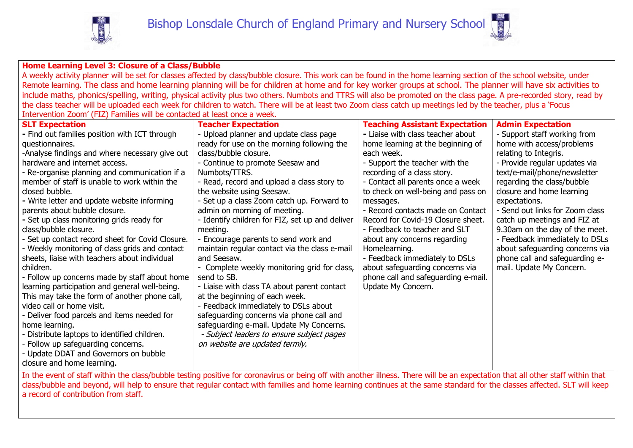



## **Home Learning Level 3: Closure of a Class/Bubble**

A weekly activity planner will be set for classes affected by class/bubble closure. This work can be found in the home learning section of the school website, under Remote learning. The class and home learning planning will be for children at home and for key worker groups at school. The planner will have six activities to include maths, phonics/spelling, writing, physical activity plus two others. Numbots and TTRS will also be promoted on the class page. A pre-recorded story, read by the class teacher will be uploaded each week for children to watch. There will be at least two Zoom class catch up meetings led by the teacher, plus a 'Focus Intervention Zoom' (FIZ) Families will be contacted at least once a week.

| <b>SLT Expectation</b>                                                                                                                                                          | <b>Teacher Expectation</b>                      | <b>Teaching Assistant Expectation</b> | <b>Admin Expectation</b>        |  |
|---------------------------------------------------------------------------------------------------------------------------------------------------------------------------------|-------------------------------------------------|---------------------------------------|---------------------------------|--|
| - Find out families position with ICT through                                                                                                                                   | - Upload planner and update class page          | - Liaise with class teacher about     | - Support staff working from    |  |
| questionnaires.                                                                                                                                                                 | ready for use on the morning following the      | home learning at the beginning of     | home with access/problems       |  |
| -Analyse findings and where necessary give out                                                                                                                                  | class/bubble closure.                           | each week.                            | relating to Integris.           |  |
| hardware and internet access.                                                                                                                                                   | - Continue to promote Seesaw and                | - Support the teacher with the        | - Provide regular updates via   |  |
| - Re-organise planning and communication if a                                                                                                                                   | Numbots/TTRS.                                   | recording of a class story.           | text/e-mail/phone/newsletter    |  |
| member of staff is unable to work within the                                                                                                                                    | - Read, record and upload a class story to      | - Contact all parents once a week     | regarding the class/bubble      |  |
| closed bubble.                                                                                                                                                                  | the website using Seesaw.                       | to check on well-being and pass on    | closure and home learning       |  |
| - Write letter and update website informing                                                                                                                                     | - Set up a class Zoom catch up. Forward to      | messages.                             | expectations.                   |  |
| parents about bubble closure.                                                                                                                                                   | admin on morning of meeting.                    | - Record contacts made on Contact     | - Send out links for Zoom class |  |
| - Set up class monitoring grids ready for                                                                                                                                       | - Identify children for FIZ, set up and deliver | Record for Covid-19 Closure sheet.    | catch up meetings and FIZ at    |  |
| class/bubble closure.                                                                                                                                                           | meeting.                                        | - Feedback to teacher and SLT         | 9.30am on the day of the meet.  |  |
| - Set up contact record sheet for Covid Closure.                                                                                                                                | - Encourage parents to send work and            | about any concerns regarding          | - Feedback immediately to DSLs  |  |
| - Weekly monitoring of class grids and contact                                                                                                                                  | maintain regular contact via the class e-mail   | Homelearning.                         | about safeguarding concerns via |  |
| sheets, liaise with teachers about individual                                                                                                                                   | and Seesaw.                                     | - Feedback immediately to DSLs        | phone call and safeguarding e-  |  |
| children.                                                                                                                                                                       | - Complete weekly monitoring grid for class,    | about safeguarding concerns via       | mail. Update My Concern.        |  |
| - Follow up concerns made by staff about home                                                                                                                                   | send to SB.                                     | phone call and safeguarding e-mail.   |                                 |  |
| learning participation and general well-being.                                                                                                                                  | - Liaise with class TA about parent contact     | Update My Concern.                    |                                 |  |
| This may take the form of another phone call,                                                                                                                                   | at the beginning of each week.                  |                                       |                                 |  |
| video call or home visit.                                                                                                                                                       | - Feedback immediately to DSLs about            |                                       |                                 |  |
| - Deliver food parcels and items needed for                                                                                                                                     | safeguarding concerns via phone call and        |                                       |                                 |  |
| home learning.                                                                                                                                                                  | safeguarding e-mail. Update My Concerns.        |                                       |                                 |  |
| - Distribute laptops to identified children.                                                                                                                                    | - Subject leaders to ensure subject pages       |                                       |                                 |  |
| - Follow up safeguarding concerns.                                                                                                                                              | on website are updated termly.                  |                                       |                                 |  |
| - Update DDAT and Governors on bubble                                                                                                                                           |                                                 |                                       |                                 |  |
| closure and home learning.                                                                                                                                                      |                                                 |                                       |                                 |  |
| In the event of staff within the class/bubble testing positive for coronavirus or being off with another illness. There will be an expectation that all other staff within that |                                                 |                                       |                                 |  |
| class/bubble and beyond, will help to ensure that regular contact with families and home learning continues at the same standard for the classes affected. SLT will keep        |                                                 |                                       |                                 |  |
| a record of contribution from staff.                                                                                                                                            |                                                 |                                       |                                 |  |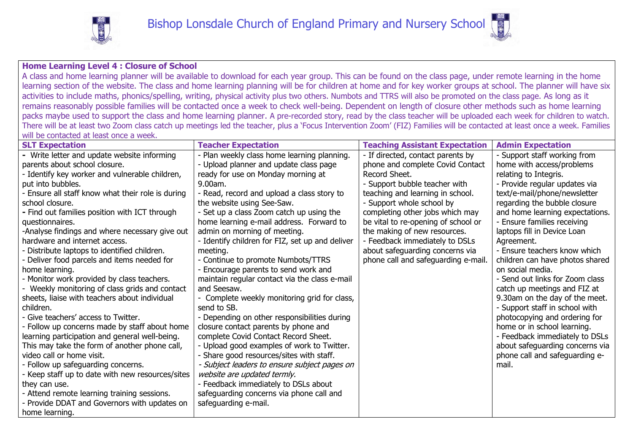

## **Home Learning Level 4 : Closure of School**

A class and home learning planner will be available to download for each year group. This can be found on the class page, under remote learning in the home learning section of the website. The class and home learning planning will be for children at home and for key worker groups at school. The planner will have six activities to include maths, phonics/spelling, writing, physical activity plus two others. Numbots and TTRS will also be promoted on the class page. As long as it remains reasonably possible families will be contacted once a week to check well-being. Dependent on length of closure other methods such as home learning packs maybe used to support the class and home learning planner. A pre-recorded story, read by the class teacher will be uploaded each week for children to watch. There will be at least two Zoom class catch up meetings led the teacher, plus a 'Focus Intervention Zoom' (FIZ) Families will be contacted at least once a week. Families will be contacted at least once a week.

| <b>SLT Expectation</b>                            | <b>Teacher Expectation</b>                      | <b>Teaching Assistant Expectation</b> | <b>Admin Expectation</b>        |
|---------------------------------------------------|-------------------------------------------------|---------------------------------------|---------------------------------|
| - Write letter and update website informing       | - Plan weekly class home learning planning.     | - If directed, contact parents by     | - Support staff working from    |
| parents about school closure.                     | - Upload planner and update class page          | phone and complete Covid Contact      | home with access/problems       |
| - Identify key worker and vulnerable children,    | ready for use on Monday morning at              | Record Sheet.                         | relating to Integris.           |
| put into bubbles.                                 | 9.00am.                                         | - Support bubble teacher with         | - Provide regular updates via   |
| - Ensure all staff know what their role is during | - Read, record and upload a class story to      | teaching and learning in school.      | text/e-mail/phone/newsletter    |
| school closure.                                   | the website using See-Saw.                      | - Support whole school by             | regarding the bubble closure    |
| - Find out families position with ICT through     | - Set up a class Zoom catch up using the        | completing other jobs which may       | and home learning expectations. |
| questionnaires.                                   | home learning e-mail address. Forward to        | be vital to re-opening of school or   | - Ensure families receiving     |
| -Analyse findings and where necessary give out    | admin on morning of meeting.                    | the making of new resources.          | laptops fill in Device Loan     |
| hardware and internet access.                     | - Identify children for FIZ, set up and deliver | - Feedback immediately to DSLs        | Agreement.                      |
| - Distribute laptops to identified children.      | meeting.                                        | about safeguarding concerns via       | - Ensure teachers know which    |
| - Deliver food parcels and items needed for       | - Continue to promote Numbots/TTRS              | phone call and safeguarding e-mail.   | children can have photos shared |
| home learning.                                    | - Encourage parents to send work and            |                                       | on social media.                |
| - Monitor work provided by class teachers.        | maintain regular contact via the class e-mail   |                                       | - Send out links for Zoom class |
| Weekly monitoring of class grids and contact      | and Seesaw.                                     |                                       | catch up meetings and FIZ at    |
| sheets, liaise with teachers about individual     | Complete weekly monitoring grid for class,      |                                       | 9.30am on the day of the meet.  |
| children.                                         | send to SB.                                     |                                       | - Support staff in school with  |
| - Give teachers' access to Twitter.               | - Depending on other responsibilities during    |                                       | photocopying and ordering for   |
| - Follow up concerns made by staff about home     | closure contact parents by phone and            |                                       | home or in school learning.     |
| learning participation and general well-being.    | complete Covid Contact Record Sheet.            |                                       | - Feedback immediately to DSLs  |
| This may take the form of another phone call,     | - Upload good examples of work to Twitter.      |                                       | about safeguarding concerns via |
| video call or home visit.                         | - Share good resources/sites with staff.        |                                       | phone call and safeguarding e-  |
| - Follow up safeguarding concerns.                | - Subject leaders to ensure subject pages on    |                                       | mail.                           |
| - Keep staff up to date with new resources/sites  | website are updated termly.                     |                                       |                                 |
| they can use.                                     | - Feedback immediately to DSLs about            |                                       |                                 |
| - Attend remote learning training sessions.       | safeguarding concerns via phone call and        |                                       |                                 |
| - Provide DDAT and Governors with updates on      | safeguarding e-mail.                            |                                       |                                 |
| home learning.                                    |                                                 |                                       |                                 |